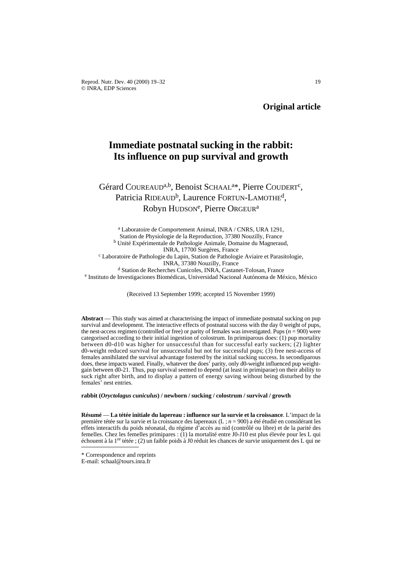Reprod. Nutr. Dev. 40 (2000) 19–32 19 © INRA, EDP Sciences

**Original article**

# **Immediate postnatal sucking in the rabbit: Its influence on pup survival and growth**

Gérard COUREAUD<sup>a,b</sup>, Benoist SCHAAL<sup>a\*</sup>, Pierre COUDERT<sup>c</sup>, Patricia RIDEAUD<sup>b</sup>, Laurence FORTUN-LAMOTHE<sup>d</sup>, Robyn HUDSON<sup>e</sup>, Pierre ORGEUR<sup>a</sup>

<sup>a</sup> Laboratoire de Comportement Animal, INRA / CNRS, URA 1291, Station de Physiologie de la Reproduction, 37380 Nouzilly, France <sup>b</sup> Unité Expérimentale de Pathologie Animale, Domaine du Magneraud, <sup>c</sup> Laboratoire de Pathologie du Lapin, Station de Pathologie Aviaire et Parasitologie, INRA, 37380 Nouzilly, France<br><sup>d</sup> Station de Recherches Cunicoles, INRA, Castanet-Tolosan, France e Instituto de Investigaciones Biomédicas, Universidad Nacional Autónoma de México, México

(Received 13 September 1999; accepted 15 November 1999)

**Abstract** — This study was aimed at characterising the impact of immediate postnatal sucking on pup survival and development. The interactive effects of postnatal success with the day 0 weight of pups, the nest-access regimen (controlled or free) or parity of females was investigated. Pups (*n* = 900) were categorised according to their initial ingestion of colostrum. In primiparous does: (1) pup mortality between d0-d10 was higher for unsuccessful than for successful early suckers; (2) lighter d0-weight reduced survival for unsuccessful but not for successful pups; (3) free nest-access of females annihilated the survival advantage fostered by the initial sucking success. In secondiparous does, these impacts waned. Finally, whatever the does' parity, only d0-weight influenced pup weightgain between d0-21. Thus, pup survival seemed to depend (at least in primiparae) on their ability to suck right after birth, and to display a pattern of energy saving without being disturbed by the females' nest entries.

### **rabbit (***Oryctolagus cuniculus***) / newborn / sucking / colostrum / survival / growth**

**Résumé** — **La tétée initiale du lapereau : influence sur la survie et la croissance**. L'impact de la première tétée sur la survie et la croissance des lapereaux (L ; *n* = 900) a été étudié en considérant les effets interactifs du poids néonatal, du régime d'accès au nid (contrôlé ou libre) et de la parité des femelles. Chez les femelles primipares : (1) la mortalité entre J0-J10 est plus élevée pour les L qui échouent à la 1re tétée ; (2) un faible poids à J0 réduit les chances de survie uniquement des L qui ne

<sup>\*</sup> Correspondence and reprints

E-mail: schaal@tours.inra.fr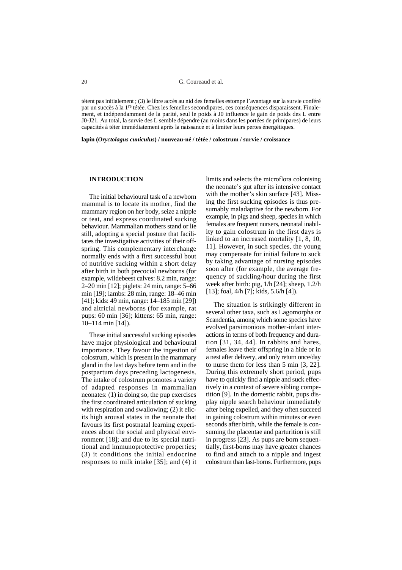tètent pas initialement ; (3) le libre accès au nid des femelles estompe l'avantage sur la survie conféré par un succès à la 1re tétée. Chez les femelles secondipares, ces conséquences disparaissent. Finalement, et indépendamment de la parité, seul le poids à J0 influence le gain de poids des L entre J0-J21. Au total, la survie des L semble dépendre (au moins dans les portées de primipares) de leurs capacités à téter immédiatement après la naissance et à limiter leurs pertes énergétiques.

**lapin (***Oryctolagus cuniculus***) / nouveau-né / tétée / colostrum / survie / croissance**

### **INTRODUCTION**

The initial behavioural task of a newborn mammal is to locate its mother, find the mammary region on her body, seize a nipple or teat, and express coordinated sucking behaviour. Mammalian mothers stand or lie still, adopting a special posture that facilitates the investigative activities of their offspring. This complementary interchange normally ends with a first successful bout of nutritive sucking within a short delay after birth in both precocial newborns (for example, wildebeest calves: 8.2 min, range: 2–20 min [12]; piglets: 24 min, range: 5–66 min [19]; lambs: 28 min, range: 18–46 min [41]; kids: 49 min, range: 14–185 min [29]) and altricial newborns (for example, rat pups: 60 min [36]; kittens: 65 min, range: 10–114 min [14]).

These initial successful sucking episodes have major physiological and behavioural importance. They favour the ingestion of colostrum, which is present in the mammary gland in the last days before term and in the postpartum days preceding lactogenesis. The intake of colostrum promotes a variety of adapted responses in mammalian neonates: (1) in doing so, the pup exercises the first coordinated articulation of sucking with respiration and swallowing; (2) it elicits high arousal states in the neonate that favours its first postnatal learning experiences about the social and physical environment [18]; and due to its special nutritional and immunoprotective properties; (3) it conditions the initial endocrine responses to milk intake [35]; and (4) it

limits and selects the microflora colonising the neonate's gut after its intensive contact with the mother's skin surface [43]. Missing the first sucking episodes is thus presumably maladaptive for the newborn. For example, in pigs and sheep, species in which females are frequent nursers, neonatal inability to gain colostrum in the first days is linked to an increased mortality [1, 8, 10, 11]. However, in such species, the young may compensate for initial failure to suck by taking advantage of nursing episodes soon after (for example, the average frequency of suckling/hour during the first week after birth: pig, 1/h [24]; sheep, 1.2/h [13]; foal, 4/h [7]; kids, 5.6/h [4]).

The situation is strikingly different in several other taxa, such as Lagomorpha or Scandentia, among which some species have evolved parsimonious mother-infant interactions in terms of both frequency and duration [31, 34, 44]. In rabbits and hares, females leave their offspring in a hide or in a nest after delivery, and only return once/day to nurse them for less than 5 min [3, 22]. During this extremely short period, pups have to quickly find a nipple and suck effectively in a context of severe sibling competition [9]. In the domestic rabbit, pups display nipple search behaviour immediately after being expelled, and they often succeed in gaining colostrum within minutes or even seconds after birth, while the female is consuming the placentae and parturition is still in progress [23]. As pups are born sequentially, first-borns may have greater chances to find and attach to a nipple and ingest colostrum than last-borns. Furthermore, pups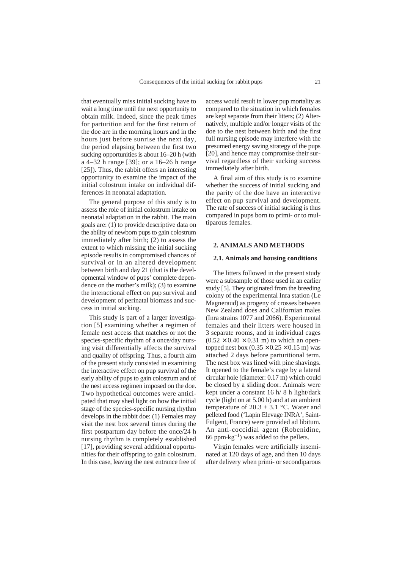that eventually miss initial sucking have to wait a long time until the next opportunity to obtain milk. Indeed, since the peak times for parturition and for the first return of the doe are in the morning hours and in the hours just before sunrise the next day, the period elapsing between the first two sucking opportunities is about 16–20 h (with a 4–32 h range [39]; or a 16–26 h range [25]). Thus, the rabbit offers an interesting opportunity to examine the impact of the initial colostrum intake on individual differences in neonatal adaptation.

The general purpose of this study is to assess the role of initial colostrum intake on neonatal adaptation in the rabbit. The main goals are: (1) to provide descriptive data on the ability of newborn pups to gain colostrum immediately after birth; (2) to assess the extent to which missing the initial sucking episode results in compromised chances of survival or in an altered development between birth and day 21 (that is the developmental window of pups' complete dependence on the mother's milk); (3) to examine the interactional effect on pup survival and development of perinatal biomass and success in initial sucking.

This study is part of a larger investigation [5] examining whether a regimen of female nest access that matches or not the species-specific rhythm of a once/day nursing visit differentially affects the survival and quality of offspring. Thus, a fourth aim of the present study consisted in examining the interactive effect on pup survival of the early ability of pups to gain colostrum and of the nest access regimen imposed on the doe. Two hypothetical outcomes were anticipated that may shed light on how the initial stage of the species-specific nursing rhythm develops in the rabbit doe: (1) Females may visit the nest box several times during the first postpartum day before the once/24 h nursing rhythm is completely established [17], providing several additional opportunities for their offspring to gain colostrum. In this case, leaving the nest entrance free of access would result in lower pup mortality as compared to the situation in which females are kept separate from their litters; (2) Alternatively, multiple and/or longer visits of the doe to the nest between birth and the first full nursing episode may interfere with the presumed energy saving strategy of the pups [20], and hence may compromise their survival regardless of their sucking success immediately after birth.

A final aim of this study is to examine whether the success of initial sucking and the parity of the doe have an interactive effect on pup survival and development. The rate of success of initial sucking is thus compared in pups born to primi- or to multiparous females.

### **2. ANIMALS AND METHODS**

### **2.1. Animals and housing conditions**

The litters followed in the present study were a subsample of those used in an earlier study [5]. They originated from the breeding colony of the experimental Inra station (Le Magneraud) as progeny of crosses between New Zealand does and Californian males (Inra strains 1077 and 2066). Experimental females and their litters were housed in 3 separate rooms, and in individual cages  $(0.52 \times 0.40 \times 0.31 \text{ m})$  to which an opentopped nest box  $(0.35 \times 0.25 \times 0.15 \text{ m})$  was attached 2 days before parturitional term. The nest box was lined with pine shavings. It opened to the female's cage by a lateral circular hole (diameter: 0.17 m) which could be closed by a sliding door. Animals were kept under a constant 16 h/ 8 h light/dark cycle (light on at 5.00 h) and at an ambient temperature of  $20.3 \pm 3.1$  °C. Water and pelleted food ('Lapin Elevage INRA', Saint-Fulgent, France) were provided ad libitum. An anti-coccidial agent (Robenidine, 66 ppm $\cdot$ kg<sup>-1</sup>) was added to the pellets.

Virgin females were artificially inseminated at 120 days of age, and then 10 days after delivery when primi- or secondiparous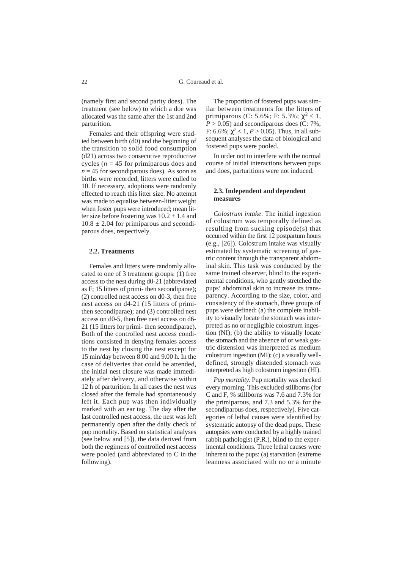(namely first and second parity does). The treatment (see below) to which a doe was allocated was the same after the 1st and 2nd parturition.

Females and their offspring were studied between birth (d0) and the beginning of the transition to solid food consumption (d21) across two consecutive reproductive cycles (*n* = 45 for primiparous does and  $n = 45$  for secondiparous does). As soon as births were recorded, litters were culled to 10. If necessary, adoptions were randomly effected to reach this litter size. No attempt was made to equalise between-litter weight when foster pups were introduced; mean litter size before fostering was  $10.2 \pm 1.4$  and  $10.8 \pm 2.04$  for primiparous and secondiparous does, respectively.

## **2.2. Treatments**

Females and litters were randomly allocated to one of 3 treatment groups: (1) free access to the nest during d0-21 (abbreviated as F; 15 litters of primi- then secondiparae); (2) controlled nest access on d0-3, then free nest access on d4-21 (15 litters of primithen secondiparae); and (3) controlled nest access on d0-5, then free nest access on d6- 21 (15 litters for primi- then secondiparae). Both of the controlled nest access conditions consisted in denying females access to the nest by closing the nest except for 15 min/day between 8.00 and 9.00 h. In the case of deliveries that could be attended, the initial nest closure was made immediately after delivery, and otherwise within 12 h of parturition. In all cases the nest was closed after the female had spontaneously left it. Each pup was then individually marked with an ear tag. The day after the last controlled nest access, the nest was left permanently open after the daily check of pup mortality. Based on statistical analyses (see below and [5]), the data derived from both the regimens of controlled nest access were pooled (and abbreviated to C in the following).

The proportion of fostered pups was similar between treatments for the litters of primiparous (C: 5.6%; F: 5.3%;  $\chi^2$  < 1,  $P > 0.05$ ) and secondiparous does (C: 7%, F:  $6.6\%$ ;  $\chi^2$  < 1, *P* > 0.05). Thus, in all subsequent analyses the data of biological and fostered pups were pooled.

In order not to interfere with the normal course of initial interactions between pups and does, parturitions were not induced.

### **2.3. Independent and dependent measures**

*Colostrum intake*. The initial ingestion of colostrum was temporally defined as resulting from sucking episode(s) that occurred within the first 12 postpartum hours (e.g., [26]). Colostrum intake was visually estimated by systematic screening of gastric content through the transparent abdominal skin. This task was conducted by the same trained observer, blind to the experimental conditions, who gently stretched the pups' abdominal skin to increase its transparency. According to the size, color, and consistency of the stomach, three groups of pups were defined: (a) the complete inability to visually locate the stomach was interpreted as no or negligible colostrum ingestion (NI); (b) the ability to visually locate the stomach and the absence of or weak gastric distension was interpreted as medium colostrum ingestion (MI); (c) a visually welldefined, strongly distended stomach was interpreted as high colostrum ingestion (HI).

*Pup mortality*. Pup mortality was checked every morning. This excluded stillborns (for C and F, % stillborns was 7.6 and 7.3% for the primiparous, and 7.3 and 5.3% for the secondiparous does, respectively). Five categories of lethal causes were identified by systematic autopsy of the dead pups. These autopsies were conducted by a highly trained rabbit pathologist (P.R.), blind to the experimental conditions. Three lethal causes were inherent to the pups: (a) starvation (extreme leanness associated with no or a minute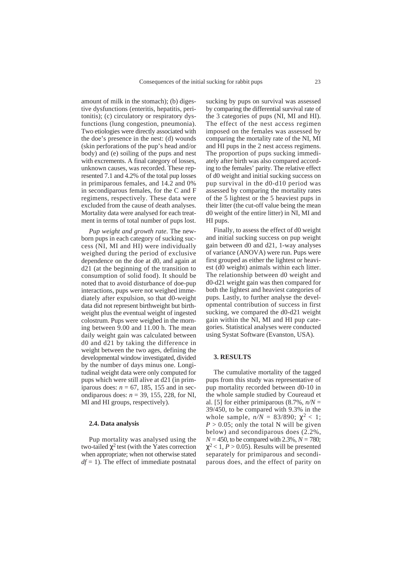amount of milk in the stomach); (b) digestive dysfunctions (enteritis, hepatitis, peritonitis); (c) circulatory or respiratory dysfunctions (lung congestion, pneumonia). Two etiologies were directly associated with the doe's presence in the nest: (d) wounds (skin perforations of the pup's head and/or body) and (e) soiling of the pups and nest with excrements. A final category of losses, unknown causes, was recorded. These represented 7.1 and 4.2% of the total pup losses in primiparous females, and 14.2 and 0% in secondiparous females, for the C and F regimens, respectively. These data were excluded from the cause of death analyses. Mortality data were analysed for each treatment in terms of total number of pups lost.

*Pup weight and growth rate*. The newborn pups in each category of sucking success (NI, MI and HI) were individually weighed during the period of exclusive dependence on the doe at d0, and again at d21 (at the beginning of the transition to consumption of solid food). It should be noted that to avoid disturbance of doe-pup interactions, pups were not weighed immediately after expulsion, so that d0-weight data did not represent birthweight but birthweight plus the eventual weight of ingested colostrum. Pups were weighed in the morning between 9.00 and 11.00 h. The mean daily weight gain was calculated between d0 and d21 by taking the difference in weight between the two ages, defining the developmental window investigated, divided by the number of days minus one. Longitudinal weight data were only computed for pups which were still alive at d21 (in primiparous does:  $n = 67$ , 185, 155 and in secondiparous does:  $n = 39$ , 155, 228, for NI, MI and HI groups, respectively).

### **2.4. Data analysis**

Pup mortality was analysed using the two-tailed  $\chi^2$  test (with the Yates correction when appropriate; when not otherwise stated *df* = 1). The effect of immediate postnatal

sucking by pups on survival was assessed by comparing the differential survival rate of the 3 categories of pups (NI, MI and HI). The effect of the nest access regimen imposed on the females was assessed by comparing the mortality rate of the NI, MI and HI pups in the 2 nest access regimens. The proportion of pups sucking immediately after birth was also compared according to the females' parity. The relative effect of d0 weight and initial sucking success on pup survival in the d0-d10 period was assessed by comparing the mortality rates of the 5 lightest or the 5 heaviest pups in their litter (the cut-off value being the mean d0 weight of the entire litter) in NI, MI and HI pups.

Finally, to assess the effect of d0 weight and initial sucking success on pup weight gain between d0 and d21, 1-way analyses of variance (ANOVA) were run. Pups were first grouped as either the lightest or heaviest (d0 weight) animals within each litter. The relationship between d0 weight and d0-d21 weight gain was then compared for both the lightest and heaviest categories of pups. Lastly, to further analyse the developmental contribution of success in first sucking, we compared the d0-d21 weight gain within the NI, MI and HI pup categories. Statistical analyses were conducted using Systat Software (Evanston, USA).

#### **3. RESULTS**

The cumulative mortality of the tagged pups from this study was representative of pup mortality recorded between d0-10 in the whole sample studied by Coureaud et al. [5] for either primiparous  $(8.7\%, n/N =$ 39/450, to be compared with 9.3% in the whole sample,  $n/N = 83/890$ ;  $\chi^2 < 1$ ;  $P > 0.05$ ; only the total N will be given below) and secondiparous does (2.2%, *N =* 450, to be compared with 2.3%, *N =* 780;  $\chi^2$  < 1, *P* > 0.05). Results will be presented separately for primiparous and secondiparous does, and the effect of parity on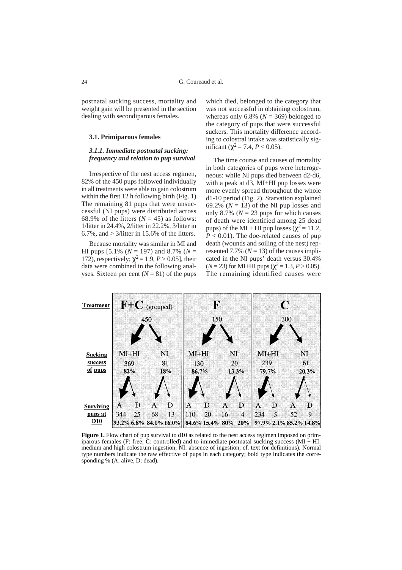postnatal sucking success, mortality and weight gain will be presented in the section dealing with secondiparous females.

# **3.1. Primiparous females**

# *3.1.1. Immediate postnatal sucking: frequency and relation to pup survival*

Irrespective of the nest access regimen, 82% of the 450 pups followed individually in all treatments were able to gain colostrum within the first 12 h following birth (Fig. 1) The remaining 81 pups that were unsuccessful (NI pups) were distributed across 68.9% of the litters  $(N = 45)$  as follows: 1/litter in 24.4%, 2/litter in 22.2%, 3/litter in 6.7%, and  $> 3/l$  itter in 15.6% of the litters.

Because mortality was similar in MI and HI pups [5.1% (*N* = 197) and 8.7% (*N* = 172), respectively;  $\chi^2$  = 1.9, *P* > 0.05], their data were combined in the following analyses. Sixteen per cent  $(N = 81)$  of the pups

which died, belonged to the category that was not successful in obtaining colostrum, whereas only  $6.8\%$  ( $N = 369$ ) belonged to the category of pups that were successful suckers. This mortality difference according to colostral intake was statistically significant ( $\chi^2$  = 7.4, *P* < 0.05).

The time course and causes of mortality in both categories of pups were heterogeneous: while NI pups died between d2-d6, with a peak at d3, MI+HI pup losses were more evenly spread throughout the whole d1-10 period (Fig. 2). Starvation explained 69.2% ( $N = 13$ ) of the NI pup losses and only 8.7% ( $N = 23$  pups for which causes of death were identified among 25 dead pups) of the MI + HI pup losses ( $\chi^2$  = 11.2,  $P < 0.01$ ). The doe-related causes of pup death (wounds and soiling of the nest) represented 7.7%  $(N = 13)$  of the causes implicated in the NI pups' death versus 30.4%  $(N = 23)$  for MI+HI pups  $(\chi^2 = 1.3, P > 0.05)$ . The remaining identified causes were



**Figure 1.** Flow chart of pup survival to d10 as related to the nest access regimen imposed on primiparous females (F: free; C: controlled) and to immediate postnatal sucking success (MI + HI: medium and high colostrum ingestion; NI: absence of ingestion; cf. text for definitions). Normal type numbers indicate the raw effective of pups in each category; bold type indicates the corresponding % (A: alive, D: dead).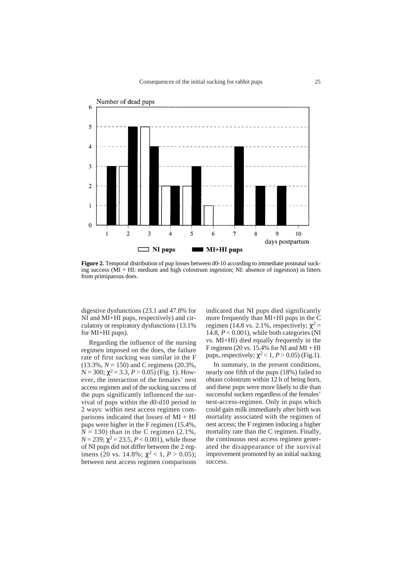

Figure 2. Temporal distribution of pup losses between d0-10 according to immediate postnatal sucking success (MI + HI: medium and high colostrum ingestion; NI: absence of ingestion) in litters from primiparous does.

digestive dysfunctions (23.1 and 47.8% for NI and MI+HI pups, respectively) and circulatory or respiratory dysfunctions (13.1% for MI+HI pups).

Regarding the influence of the nursing regimen imposed on the does, the failure rate of first sucking was similar in the F (13.3%, *N* = 150) and C regimens (20.3%,  $N = 300$ ;  $\chi^2 = 3.3$ ,  $P > 0.05$ ) (Fig. 1). However, the interaction of the females' nest access regimen and of the sucking success of the pups significantly influenced the survival of pups within the d0-d10 period in 2 ways: within nest access regimen comparisons indicated that losses of MI + HI pups were higher in the F regimen (15.4%,  $N = 130$ ) than in the C regimen  $(2.1\%$ ,  $N = 239$ ;  $\chi^2 = 23.5$ ,  $P < 0.001$ ), while those of NI pups did not differ between the 2 regimens (20 vs. 14.8%;  $\chi^2$  < 1, *P* > 0.05); between nest access regimen comparisons indicated that NI pups died significantly more frequently than MI+HI pups in the C regimen (14.8 vs. 2.1%, respectively;  $\chi^2$  = 14.8,  $P < 0.001$ ), while both categories (NI vs. MI+HI) died equally frequently in the F regimen (20 vs. 15.4% for NI and MI + HI pups, respectively;  $\chi^2$  < 1, *P* > 0.05) (Fig.1).

In summary, in the present conditions, nearly one fifth of the pups (18%) failed to obtain colostrum within 12 h of being born, and these pups were more likely to die than successful suckers regardless of the females' nest-access-regimen. Only in pups which could gain milk immediately after birth was mortality associated with the regimen of nest access; the F regimen inducing a higher mortality rate than the C regimen. Finally, the continuous nest access regimen generated the disappearance of the survival improvement promoted by an initial sucking success.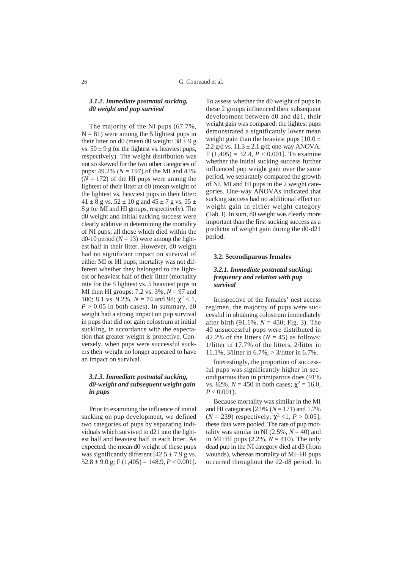# *3.1.2. Immediate postnatal sucking, d0 weight and pup survival*

The majority of the NI pups (67.7%,  $N = 81$ ) were among the 5 lightest pups in their litter on d0 (mean d0 weight:  $38 \pm 9$  g vs.  $50 \pm 9$  g for the lightest vs. heaviest pups, respectively). The weight distribution was not so skewed for the two other categories of pups: 49.2% (*N* = 197) of the MI and 43%  $(N = 172)$  of the HI pups were among the lightest of their litter at d0 (mean weight of the lightest vs. heaviest pups in their litter:  $41 \pm 8$  g vs.  $52 \pm 10$  g and  $45 \pm 7$  g vs.  $55 \pm 10$ 8 g for MI and HI groups, respectively). The d0 weight and initial sucking success were clearly additive in determining the mortality of NI pups; all those which died within the d0-10 period  $(N = 13)$  were among the lightest half in their litter. However, d0 weight had no significant impact on survival of either MI or HI pups; mortality was not different whether they belonged to the lightest or heaviest half of their litter (mortality rate for the 5 lightest vs. 5 heaviest pups in MI then HI groups: 7.2 vs. 3%, *N* = 97 and 100; 8.1 vs. 9.2%,  $N = 74$  and 98;  $\chi^2 < 1$ ,  $P > 0.05$  in both cases). In summary, d0 weight had a strong impact on pup survival in pups that did not gain colostrum at initial suckling, in accordance with the expectation that greater weight is protective. Conversely, when pups were successful suckers their weight no longer appeared to have an impact on survival.

# *3.1.3. Immediate postnatal sucking, d0-weight and subsequent weight gain in pups*

Prior to examining the influence of initial sucking on pup development, we defined two categories of pups by separating individuals which survived to d21 into the lightest half and heaviest half in each litter. As expected, the mean d0 weight of these pups was significantly different  $[42.5 \pm 7.9 \text{ g} \text{ vs.}]$  $52.8 \pm 9.0$  g; F (1,405) = 148.9, P < 0.001]. To assess whether the d0 weight of pups in these 2 groups influenced their subsequent development between d0 and d21, their weight gain was compared: the lightest pups demonstrated a significantly lower mean weight gain than the heaviest pups  $[10.0 \pm 10.0 \pm 1.0]$ 2.2 g/d vs.  $11.3 \pm 2.1$  g/d; one-way ANOVA: F  $(1,405) = 32.4, P < 0.001$ ]. To examine whether the initial sucking success further influenced pup weight gain over the same period, we separately compared the growth of NI, MI and HI pups in the 2 weight categories. One-way ANOVAs indicated that sucking success had no additional effect on weight gain in either weight category (Tab. I). In sum, d0 weight was clearly more important than the first sucking success as a predictor of weight gain during the d0-d21 period.

### **3.2. Secondiparous females**

### *3.2.1. Immediate postnatal sucking: frequency and relation with pup survival*

Irrespective of the females' nest access regimen, the majority of pups were successful in obtaining colostrum immediately after birth (91.1%, *N* = 450; Fig. 3). The 40 unsuccessful pups were distributed in 42.2% of the litters  $(N = 45)$  as follows: 1/litter in 17.7% of the litters, 2/litter in 11.1%, 3/litter in 6.7%, > 3/litter in 6.7%.

Interestingly, the proportion of successful pups was significantly higher in secondiparous than in primiparous does (91% vs. 82%,  $N = 450$  in both cases;  $\chi^2 = 16.0$ ,  $P < 0.001$ ).

Because mortality was similar in the MI and HI categories [2.9% (*N* = 171) and 1.7% ( $N = 239$ ) respectively;  $\chi^2$  <1,  $P > 0.05$ ], these data were pooled. The rate of pup mortality was similar in NI  $(2.5\%, N = 40)$  and in MI+HI pups  $(2.2\%, N = 410)$ . The only dead pup in the NI category died at d3 (from wounds), whereas mortality of MI+HI pups occurred throughout the d2-d8 period. In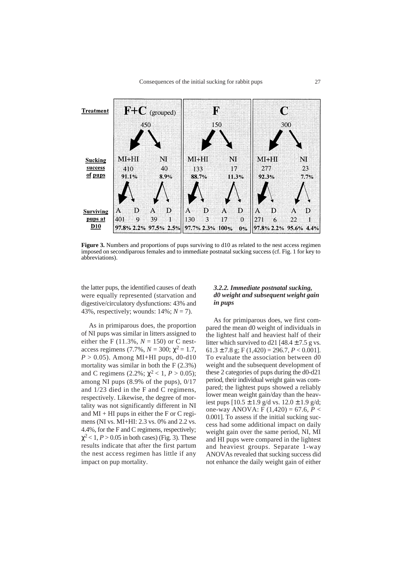

**Figure 3.** Numbers and proportions of pups surviving to d10 as related to the nest access regimen imposed on secondiparous females and to immediate postnatal sucking success (cf. Fig. 1 for key to abbreviations).

the latter pups, the identified causes of death were equally represented (starvation and digestive/circulatory dysfunctions: 43% and 43%, respectively; wounds: 14%; *N* = 7).

As in primiparous does, the proportion of NI pups was similar in litters assigned to either the F (11.3%,  $N = 150$ ) or C nestaccess regimens (7.7%,  $N = 300$ ;  $\chi^2 = 1.7$ ,  $P > 0.05$ ). Among MI+HI pups, d0-d10 mortality was similar in both the F (2.3%) and C regimens (2.2%;  $\chi^2$  < 1, *P* > 0.05); among NI pups (8.9% of the pups), 0/17 and 1/23 died in the F and C regimens, respectively. Likewise, the degree of mortality was not significantly different in NI and  $MI + HI$  pups in either the F or C regimens (NI vs. MI+HI: 2.3 vs. 0% and 2.2 vs. 4.4%, for the F and C regimens, respectively;  $\chi^2$  < 1, *P* > 0.05 in both cases) (Fig. 3). These results indicate that after the first partum the nest access regimen has little if any impact on pup mortality.

# *3.2.2. Immediate postnatal sucking, d0 weight and subsequent weight gain in pups*

As for primiparous does, we first compared the mean d0 weight of individuals in the lightest half and heaviest half of their litter which survived to d21  $[48.4 \pm 7.5$  g vs.  $61.3 \pm 7.8$  g; F (1,420) = 296.7, P < 0.001]. To evaluate the association between d0 weight and the subsequent development of these 2 categories of pups during the d0-d21 period, their individual weight gain was compared; the lightest pups showed a reliably lower mean weight gain/day than the heaviest pups  $[10.5 \pm 1.9 \text{ g/d} \text{ vs. } 12.0 \pm 1.9 \text{ g/d}$ ; one-way ANOVA: F (1,420) = 67.6, *P* < 0.001]. To assess if the initial sucking success had some additional impact on daily weight gain over the same period, NI, MI and HI pups were compared in the lightest and heaviest groups. Separate 1-way ANOVAs revealed that sucking success did not enhance the daily weight gain of either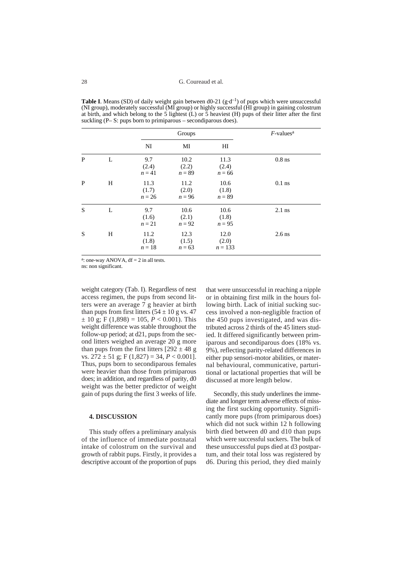|   |   | Groups                    |                           | $F$ -values <sup>a</sup>   |          |
|---|---|---------------------------|---------------------------|----------------------------|----------|
|   |   | NI                        | MI                        | HI                         |          |
| P | L | 9.7<br>(2.4)<br>$n = 41$  | 10.2<br>(2.2)<br>$n = 89$ | 11.3<br>(2.4)<br>$n = 66$  | $0.8$ ns |
| P | H | 11.3<br>(1.7)<br>$n = 26$ | 11.2<br>(2.0)<br>$n = 96$ | 10.6<br>(1.8)<br>$n = 89$  | $0.1$ ns |
| S | L | 9.7<br>(1.6)<br>$n=21$    | 10.6<br>(2.1)<br>$n = 92$ | 10.6<br>(1.8)<br>$n = 95$  | $2.1$ ns |
| S | Η | 11.2<br>(1.8)<br>$n=18$   | 12.3<br>(1.5)<br>$n = 63$ | 12.0<br>(2.0)<br>$n = 133$ | $2.6$ ns |

**Table I**. Means (SD) of daily weight gain between  $d0-21$  ( $g \cdot d^{-1}$ ) of pups which were unsuccessful (NI group), moderately successful (MI group) or highly successful (HI group) in gaining colostrum at birth, and which belong to the 5 lightest (L) or 5 heaviest (H) pups of their litter after the first suckling (P– S: pups born to primiparous – secondiparous does).

<sup>a</sup>: one-way ANOVA,  $df = 2$  in all tests.

ns: non significant.

weight category (Tab. I). Regardless of nest access regimen, the pups from second litters were an average 7 g heavier at birth than pups from first litters  $(54 \pm 10 \text{ g} \text{ vs. } 47)$  $\pm$  10 g; F (1,898) = 105, *P* < 0.001). This weight difference was stable throughout the follow-up period; at d21, pups from the second litters weighed an average 20 g more than pups from the first litters  $[292 \pm 48$  g vs. 272 ± 51 g; F (1,827) = 34, *P* < 0.001]. Thus, pups born to secondiparous females were heavier than those from primiparous does; in addition, and regardless of parity, d0 weight was the better predictor of weight gain of pups during the first 3 weeks of life.

### **4. DISCUSSION**

This study offers a preliminary analysis of the influence of immediate postnatal intake of colostrum on the survival and growth of rabbit pups. Firstly, it provides a descriptive account of the proportion of pups that were unsuccessful in reaching a nipple or in obtaining first milk in the hours following birth. Lack of initial sucking success involved a non-negligible fraction of the 450 pups investigated, and was distributed across 2 thirds of the 45 litters studied. It differed significantly between primiparous and secondiparous does (18% vs. 9%), reflecting parity-related differences in either pup sensori-motor abilities, or maternal behavioural, communicative, parturitional or lactational properties that will be discussed at more length below.

Secondly, this study underlines the immediate and longer term adverse effects of missing the first sucking opportunity. Significantly more pups (from primiparous does) which did not suck within 12 h following birth died between d0 and d10 than pups which were successful suckers. The bulk of these unsuccessful pups died at d3 postpartum, and their total loss was registered by d6. During this period, they died mainly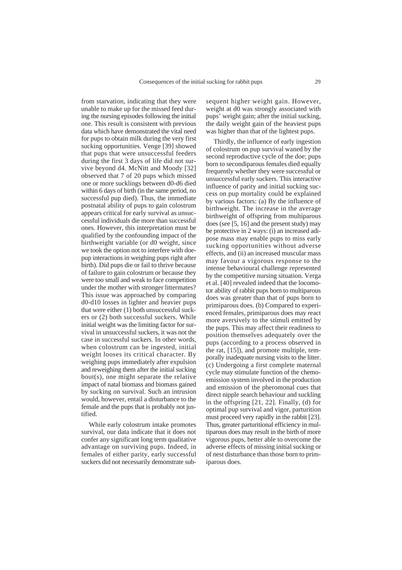from starvation, indicating that they were unable to make up for the missed feed during the nursing episodes following the initial one. This result is consistent with previous data which have demonstrated the vital need for pups to obtain milk during the very first sucking opportunities. Venge [39] showed that pups that were unsuccessful feeders during the first 3 days of life did not survive beyond d4. McNitt and Moody [32] observed that 7 of 20 pups which missed one or more sucklings between d0-d6 died within 6 days of birth (in the same period, no successful pup died). Thus, the immediate postnatal ability of pups to gain colostrum appears critical for early survival as unsuccessful individuals die more than successful ones. However, this interpretation must be qualified by the confounding impact of the birthweight variable (or d0 weight, since we took the option not to interfere with doepup interactions in weighing pups right after birth). Did pups die or fail to thrive because of failure to gain colostrum or because they were too small and weak to face competition under the mother with stronger littermates? This issue was approached by comparing d0-d10 losses in lighter and heavier pups that were either (1) both unsuccessful suckers or (2) both successful suckers. While initial weight was the limiting factor for survival in unsuccessful suckers, it was not the case in successful suckers. In other words, when colostrum can be ingested, initial weight looses its critical character. By weighing pups immediately after expulsion and reweighing them after the initial sucking bout(s), one might separate the relative impact of natal biomass and biomass gained by sucking on survival. Such an intrusion would, however, entail a disturbance to the female and the pups that is probably not justified.

While early colostrum intake promotes survival, our data indicate that it does not confer any significant long term qualitative advantage on surviving pups. Indeed, in females of either parity, early successful suckers did not necessarily demonstrate subsequent higher weight gain. However, weight at d0 was strongly associated with pups' weight gain; after the initial sucking, the daily weight gain of the heaviest pups was higher than that of the lightest pups.

Thirdly, the influence of early ingestion of colostrum on pup survival waned by the second reproductive cycle of the doe; pups born to secondiparous females died equally frequently whether they were successful or unsuccessful early suckers. This interactive influence of parity and initial sucking success on pup mortality could be explained by various factors: (a) By the influence of birthweight. The increase in the average birthweight of offspring from multiparous does (see [5, 16] and the present study) may be protective in 2 ways: (i) an increased adipose mass may enable pups to miss early sucking opportunities without adverse effects, and (ii) an increased muscular mass may favour a vigorous response to the intense behavioural challenge represented by the competitive nursing situation. Verga et al. [40] revealed indeed that the locomotor ability of rabbit pups born to multiparous does was greater than that of pups born to primiparous does. (b) Compared to experienced females, primiparous does may react more aversively to the stimuli emitted by the pups. This may affect their readiness to position themselves adequately over the pups (according to a process observed in the rat, [15]), and promote multiple, temporally inadequate nursing visits to the litter. (c) Undergoing a first complete maternal cycle may stimulate function of the chemoemission system involved in the production and emission of the pheromonal cues that direct nipple search behaviour and suckling in the offspring [21, 22]. Finally, (d) for optimal pup survival and vigor, parturition must proceed very rapidly in the rabbit [23]. Thus, greater parturitional efficiency in multiparous does may result in the birth of more vigorous pups, better able to overcome the adverse effects of missing initial sucking or of nest disturbance than those born to primiparous does.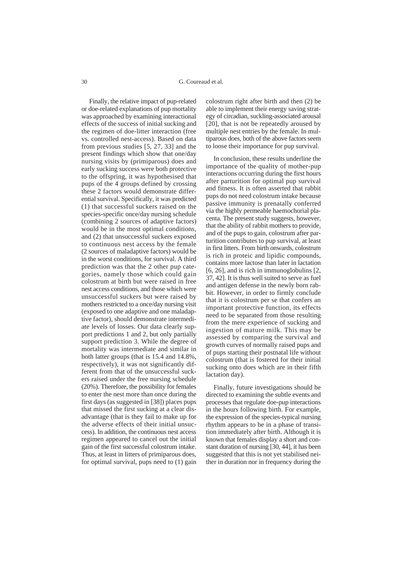Finally, the relative impact of pup-related or doe-related explanations of pup mortality was approached by examining interactional effects of the success of initial sucking and the regimen of doe-litter interaction (free vs. controlled nest-access). Based on data from previous studies [5, 27, 33] and the present findings which show that one/day nursing visits by (primiparous) does and early sucking success were both protective to the offspring, it was hypothesised that pups of the 4 groups defined by crossing these 2 factors would demonstrate differential survival. Specifically, it was predicted (1) that successful suckers raised on the species-specific once/day nursing schedule (combining 2 sources of adaptive factors) would be in the most optimal conditions, and (2) that unsuccessful suckers exposed to continuous nest access by the female (2 sources of maladaptive factors) would be in the worst conditions, for survival. A third prediction was that the 2 other pup categories, namely those which could gain colostrum at birth but were raised in free nest access conditions, and those which were unsuccessful suckers but were raised by mothers restricted to a once/day nursing visit (exposed to one adaptive and one maladaptive factor), should demonstrate intermediate levels of losses. Our data clearly support predictions 1 and 2, but only partially support prediction 3. While the degree of mortality was intermediate and similar in both latter groups (that is 15.4 and 14.8%, respectively), it was not significantly different from that of the unsuccessful suckers raised under the free nursing schedule (20%). Therefore, the possibility for females to enter the nest more than once during the first days (as suggested in [38]) places pups that missed the first sucking at a clear disadvantage (that is they fail to make up for the adverse effects of their initial unsuccess). In addition, the continuous nest access regimen appeared to cancel out the initial gain of the first successful colostrum intake. Thus, at least in litters of primiparous does, for optimal survival, pups need to (1) gain

colostrum right after birth and then (2) be able to implement their energy saving strategy of circadian, suckling-associated arousal [20], that is not be repeatedly aroused by multiple nest entries by the female. In multiparous does, both of the above factors seem to loose their importance for pup survival.

In conclusion, these results underline the importance of the quality of mother-pup interactions occurring during the first hours after parturition for optimal pup survival and fitness. It is often asserted that rabbit pups do not need colostrum intake because passive immunity is prenatally conferred via the highly permeable haemochorial placenta. The present study suggests, however, that the ability of rabbit mothers to provide, and of the pups to gain, colostrum after parturition contributes to pup survival, at least in first litters. From birth onwards, colostrum is rich in proteic and lipidic compounds, contains more lactose than later in lactation [6, 26], and is rich in immunoglobulins [2, 37, 42]. It is thus well suited to serve as fuel and antigen defense in the newly born rabbit. However, in order to firmly conclude that it is colostrum per se that confers an important protective function, its effects need to be separated from those resulting from the mere experience of sucking and ingestion of mature milk. This may be assessed by comparing the survival and growth curves of normally raised pups and of pups starting their postnatal life without colostrum (that is fostered for their initial sucking onto does which are in their fifth lactation day).

Finally, future investigations should be directed to examining the subtle events and processes that regulate doe-pup interactions in the hours following birth. For example, the expression of the species-typical nursing rhythm appears to be in a phase of transition immediately after birth. Although it is known that females display a short and constant duration of nursing [30, 44], it has been suggested that this is not yet stabilised neither in duration nor in frequency during the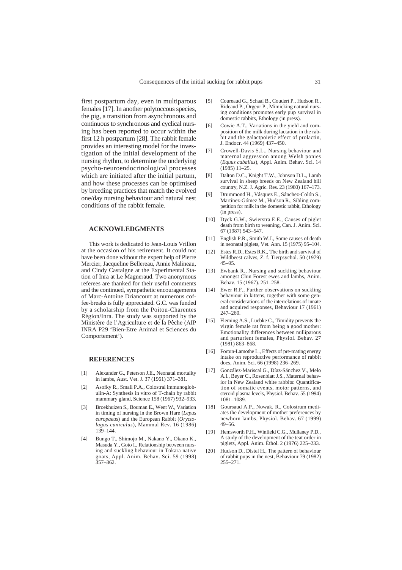first postpartum day, even in multiparous females [17]. In another polytoccous species, the pig, a transition from asynchronous and continuous to synchronous and cyclical nursing has been reported to occur within the first 12 h postpartum [28]. The rabbit female provides an interesting model for the investigation of the initial development of the nursing rhythm, to determine the underlying psycho-neuroendocrinological processes which are initiated after the initial partum, and how these processes can be optimised by breeding practices that match the evolved one/day nursing behaviour and natural nest conditions of the rabbit female.

# **ACKNOWLEDGMENTS**

This work is dedicated to Jean-Louis Vrillon at the occasion of his retirement. It could not have been done without the expert help of Pierre Mercier, Jacqueline Bellereau, Annie Malineau, and Cindy Castaigne at the Experimental Station of Inra at Le Magneraud. Two anonymous referees are thanked for their useful comments and the continued, sympathetic encouragements of Marc-Antoine Driancourt at numerous coffee-breaks is fully appreciated. G.C. was funded by a scholarship from the Poitou-Charentes Région/Inra. The study was supported by the Ministère de l'Agriculture et de la Pêche (AIP INRA P29 'Bien-Etre Animal et Sciences du Comportement').

# **REFERENCES**

- [1] Alexander G., Peterson J.E., Neonatal mortality in lambs, Aust. Vet. J. 37 (1961) 371–381.
- [2] Asofky R., Small P.A., Colostral immunoglobulin-A: Synthesis in vitro of T-chain by rabbit mammary gland, Science 158 (1967) 932–933.
- [3] Broekhuizen S., Bouman E., Went W., Variation in timing of nursing in the Brown Hare (*Lepus europaeus*) and the European Rabbit (*Oryctolagus cuniculus*), Mammal Rev. 16 (1986) 139–144.
- [4] Bungo T., Shimojo M., Nakano Y., Okano K., Masuda Y., Goto I., Relationship between nursing and suckling behaviour in Tokara native goats, Appl. Anim. Behav. Sci. 59 (1998) 357–362.
- [5] Coureaud G., Schaal B., Coudert P., Hudson R., Rideaud P., Orgeur P., Mimicking natural nursing conditions promotes early pup survival in domestic rabbits, Ethology (in press).
- [6] Cowie A.T., Variations in the yield and composition of the milk during lactation in the rabbit and the galactpoietic effect of prolactin, J. Endocr. 44 (1969) 437–450.
- [7] Crowell-Davis S.L., Nursing behaviour and maternal aggression among Welsh ponies (*Equus caballus*), Appl. Anim. Behav. Sci. 14 (1985) 11–25.
- [8] Dalton D.C., Knight T.W., Johnson D.L., Lamb survival in sheep breeds on New Zealand hill country, N.Z. J. Agric. Res. 23 (1980) 167–173.
- [9] Drummond H., Vásquez E., Sánchez-Colón S., Martínez-Gómez M., Hudson R., Sibling competition for milk in the domestic rabbit, Ethology (in press).
- [10] Dyck G.W., Swierstra E.E., Causes of piglet death from birth to weaning, Can. J. Anim. Sci. 67 (1987) 543–547.
- [11] English P.R., Smith W.J., Some causes of death in neonatal piglets, Vet. Ann. 15 (1975) 95–104.
- [12] Estes R.D., Estes R.K., The birth and survival of Wildbeest calves, Z. f. Tierpsychol. 50 (1979) 45–95.
- [13] Ewbank R., Nursing and suckling behaviour amongst Clun Forest ewes and lambs, Anim. Behav. 15 (1967). 251–258.
- [14] Ewer R.F., Further observations on suckling behaviour in kittens, together with some general considerations of the interrelations of innate and acquired responses, Behaviour 17 (1961)  $247 - 260$ .
- [15] Fleming A.S., Luebke C., Timidity prevents the virgin female rat from being a good mother: Emotionality differences between nulliparous and parturient females, Physiol. Behav. 27 (1981) 863–868.
- [16] Fortun-Lamothe L., Effects of pre-mating energy intake on reproductive performance of rabbit does, Anim. Sci. 66 (1998) 236–269.
- [17] González-Mariscal G., Díaz-Sánchez V., Melo A.I., Beyer C., Rosenblatt J.S., Maternal behavior in New Zealand white rabbits: Quantification of somatic events, motor patterns, and steroid plasma levels, Physiol. Behav. 55 (1994) 1081–1089.
- [18] Goursaud A.P., Nowak, R., Colostrum mediates the development of mother preferences by newborn lambs, Physiol. Behav. 67 (1999) 49–56.
- [19] Hemsworth P.H., Winfield C.G., Mullaney P.D., A study of the development of the teat order in piglets, Appl. Anim. Ethol. 2 (1976) 225–233.
- [20] Hudson D., Distel H., The pattern of behaviour of rabbit pups in the nest, Behaviour 79 (1982) 255–271.